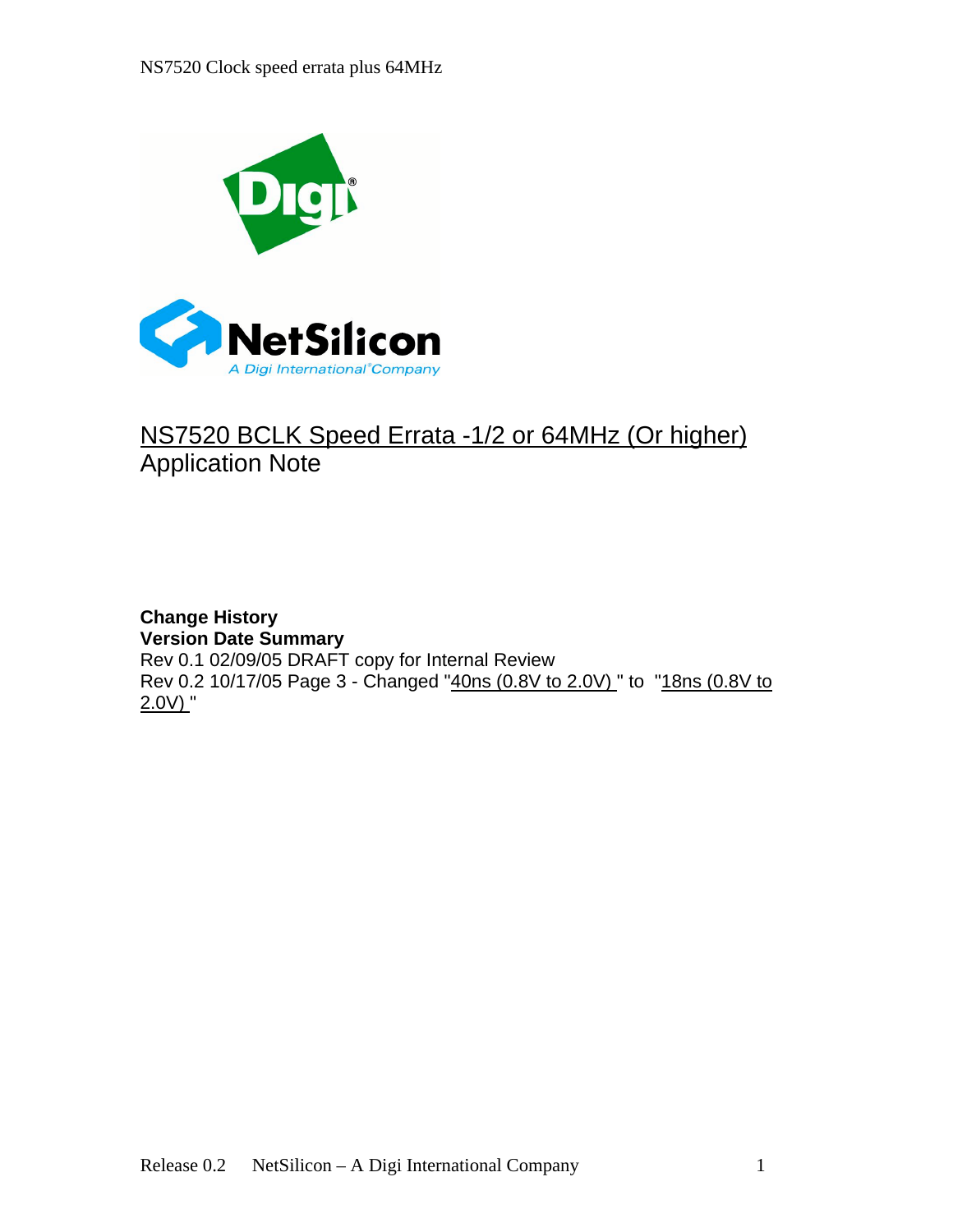

## NS7520 BCLK Speed Errata -1/2 or 64MHz (Or higher)<br>Application Note Application Note

**Change History Version Date Summary** Rev 0.1 02/09/05 DRAFT copy for Internal Review Rev 0.2 10/17/05 Page 3 - Changed "40ns (0.8V to 2.0V) " to "18ns (0.8V to  $2.0V$ ) "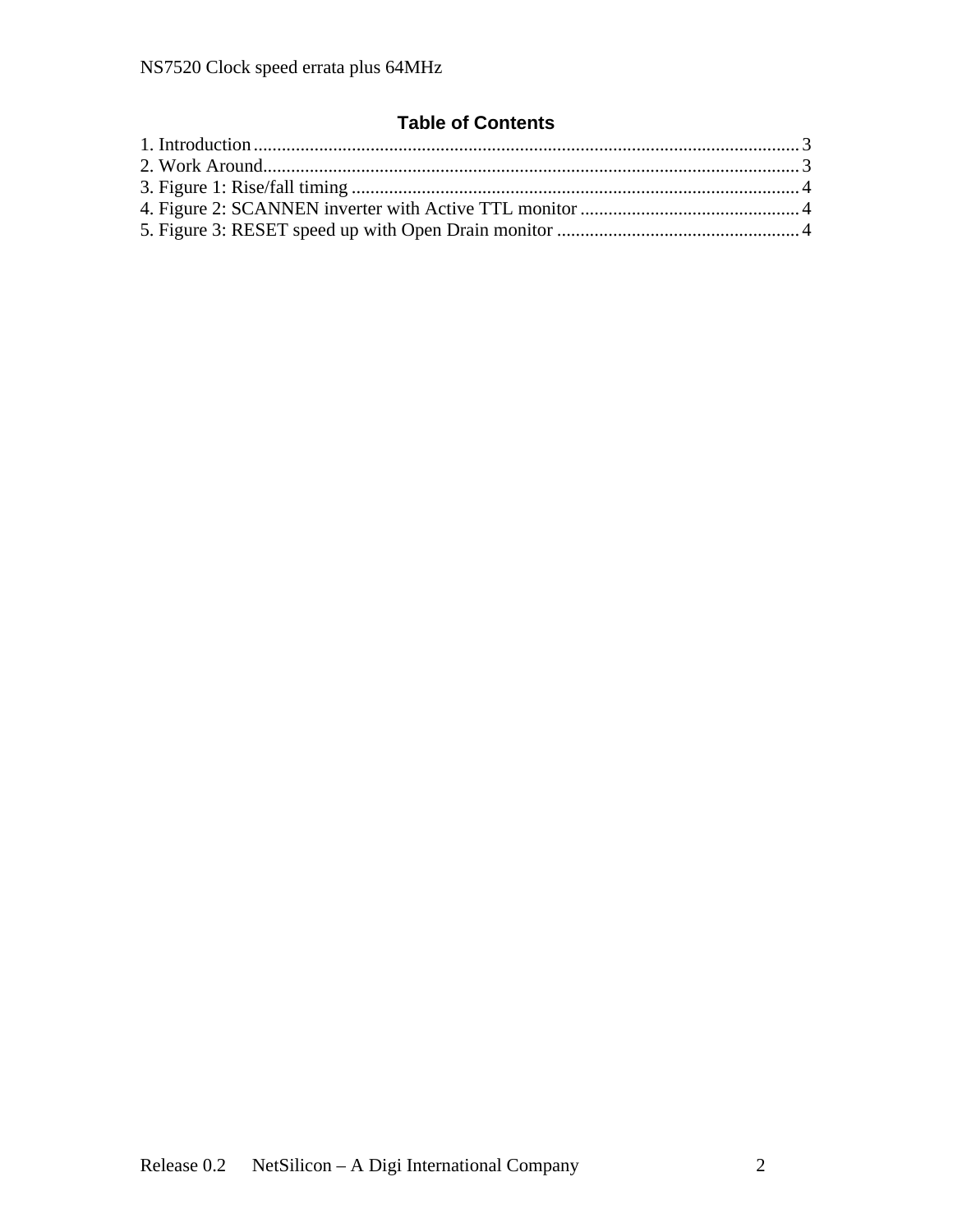## **Table of Contents**

| 1. Introduction               |  |
|-------------------------------|--|
| 2. Work Around                |  |
| 3. Figure 1: Rise/fall timing |  |
|                               |  |
|                               |  |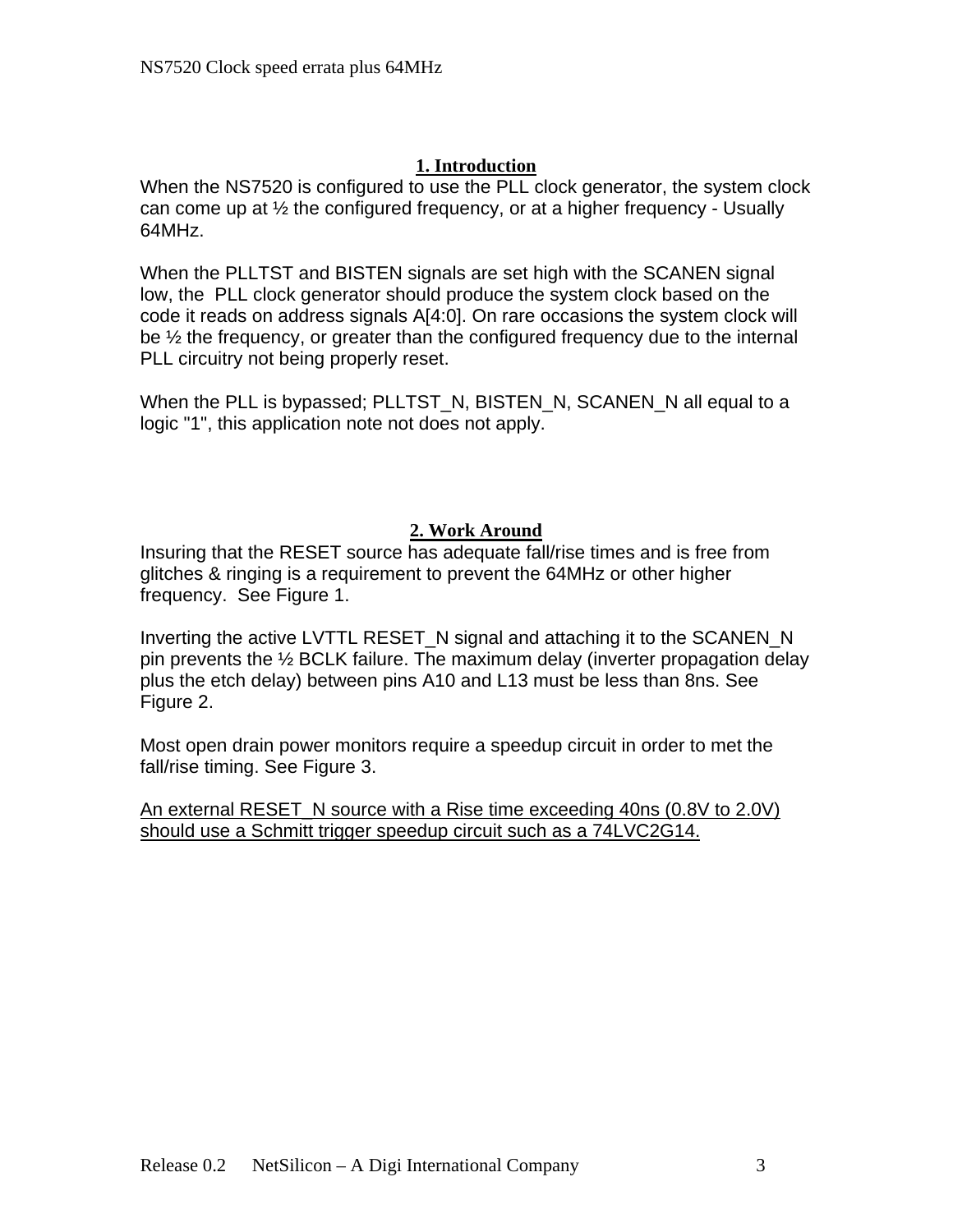## **1. Introduction**

When the NS7520 is configured to use the PLL clock generator, the system clock can come up at ½ the configured frequency, or at a higher frequency - Usually 64MHz.

When the PLLTST and BISTEN signals are set high with the SCANEN signal low, the PLL clock generator should produce the system clock based on the code it reads on address signals A[4:0]. On rare occasions the system clock will be ½ the frequency, or greater than the configured frequency due to the internal PLL circuitry not being properly reset.

When the PLL is bypassed; PLLTST\_N, BISTEN\_N, SCANEN\_N all equal to a logic "1", this application note not does not apply.

## **2. Work Around**

Insuring that the RESET source has adequate fall/rise times and is free from glitches & ringing is a requirement to prevent the 64MHz or other higher frequency. See Figure 1.

Inverting the active LVTTL RESET\_N signal and attaching it to the SCANEN\_N pin prevents the ½ BCLK failure. The maximum delay (inverter propagation delay plus the etch delay) between pins A10 and L13 must be less than 8ns. See Figure 2.

Most open drain power monitors require a speedup circuit in order to met the fall/rise timing. See Figure 3.

An external RESET\_N source with a Rise time exceeding 40ns (0.8V to 2.0V) should use a Schmitt trigger speedup circuit such as a 74LVC2G14.